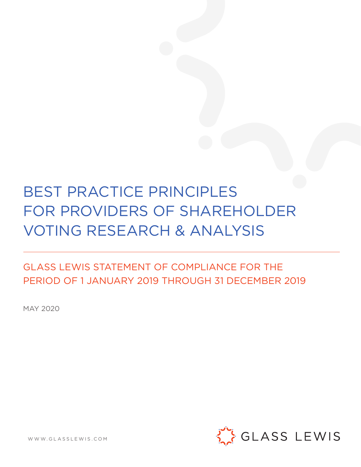# BEST PRACTICE PRINCIPLES FOR PROVIDERS OF SHAREHOLDER VOTING RESEARCH & ANALYSIS

# GLASS LEWIS STATEMENT OF COMPLIANCE FOR THE PERIOD OF 1 JANUARY 2019 THROUGH 31 DECEMBER 2019

MAY 2020



WWW.GLASSLEWIS.COM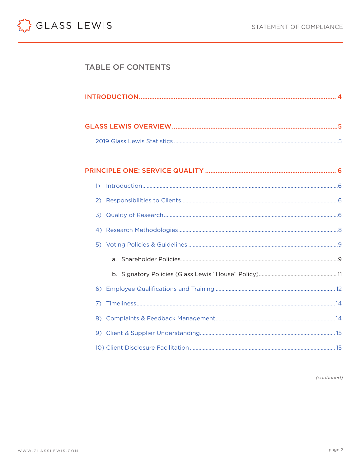

# **TABLE OF CONTENTS**

|--|

| $\overline{1}$ |  |
|----------------|--|
|                |  |
|                |  |
|                |  |
|                |  |
|                |  |
|                |  |
|                |  |
| 7)             |  |
|                |  |
|                |  |
|                |  |

(continued)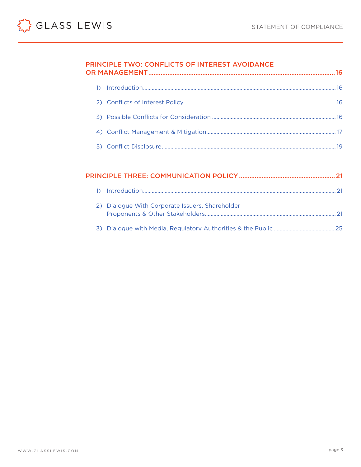# PRINCIPLE TWO: CONFLICTS OF INTEREST AVOIDANCE OR MANAGEMENT

|    | 2) Dialogue With Corporate Issuers, Shareholder |  |
|----|-------------------------------------------------|--|
| 25 |                                                 |  |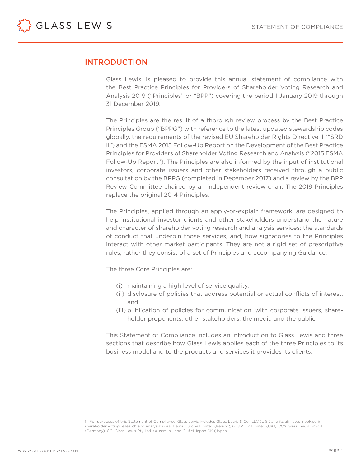

# INTRODUCTION

Glass Lewis<sup>1</sup> is pleased to provide this annual statement of compliance with the Best Practice Principles for Providers of Shareholder Voting Research and Analysis 2019 ("Principles" or "BPP") covering the period 1 January 2019 through 31 December 2019.

The Principles are the result of a thorough review process by the Best Practice Principles Group ("BPPG") with reference to the latest updated stewardship codes globally, the requirements of the revised EU Shareholder Rights Directive II ("SRD II") and the ESMA 2015 Follow-Up Report on the Development of the Best Practice Principles for Providers of Shareholder Voting Research and Analysis ("2015 ESMA Follow-Up Report"). The Principles are also informed by the input of institutional investors, corporate issuers and other stakeholders received through a public consultation by the BPPG (completed in December 2017) and a review by the BPP Review Committee chaired by an independent review chair. The 2019 Principles replace the original 2014 Principles.

The Principles, applied through an apply-or-explain framework, are designed to help institutional investor clients and other stakeholders understand the nature and character of shareholder voting research and analysis services; the standards of conduct that underpin those services; and, how signatories to the Principles interact with other market participants. They are not a rigid set of prescriptive rules; rather they consist of a set of Principles and accompanying Guidance.

The three Core Principles are:

- (i) maintaining a high level of service quality,
- (ii) disclosure of policies that address potential or actual conflicts of interest, and
- (iii) publication of policies for communication, with corporate issuers, shareholder proponents, other stakeholders, the media and the public.

This Statement of Compliance includes an introduction to Glass Lewis and three sections that describe how Glass Lewis applies each of the three Principles to its business model and to the products and services it provides its clients.

<sup>1</sup> For purposes of this Statement of Compliance, Glass Lewis includes Glass, Lewis & Co., LLC (U.S.) and its affiliates involved in shareholder voting research and analysis: Glass Lewis Europe Limited (Ireland), GL&M UK Limited (UK), IVOX Glass Lewis GmbH (Germany), CGI Glass Lewis Pty Ltd. (Australia), and GL&M Japan GK (Japan).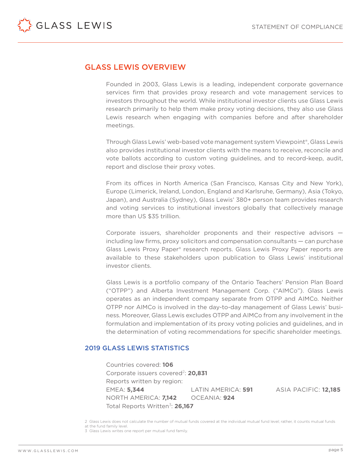<span id="page-4-0"></span>

# GLASS LEWIS OVERVIEW

Founded in 2003, Glass Lewis is a leading, independent corporate governance services firm that provides proxy research and vote management services to investors throughout the world. While institutional investor clients use Glass Lewis research primarily to help them make proxy voting decisions, they also use Glass Lewis research when engaging with companies before and after shareholder meetings.

Through Glass Lewis' web-based vote management system Viewpoint®, Glass Lewis also provides institutional investor clients with the means to receive, reconcile and vote ballots according to custom voting guidelines, and to record-keep, audit, report and disclose their proxy votes.

From its offices in North America (San Francisco, Kansas City and New York), Europe (Limerick, Ireland, London, England and Karlsruhe, Germany), Asia (Tokyo, Japan), and Australia (Sydney), Glass Lewis' 380+ person team provides research and voting services to institutional investors globally that collectively manage more than US \$35 trillion.

Corporate issuers, shareholder proponents and their respective advisors including law firms, proxy solicitors and compensation consultants — can purchase Glass Lewis Proxy Paper® research reports. Glass Lewis Proxy Paper reports are available to these stakeholders upon publication to Glass Lewis' institutional investor clients.

Glass Lewis is a portfolio company of the Ontario Teachers' Pension Plan Board ("OTPP") and Alberta Investment Management Corp. ("AIMCo"). Glass Lewis operates as an independent company separate from OTPP and AIMCo. Neither OTPP nor AIMCo is involved in the day-to-day management of Glass Lewis' business. Moreover, Glass Lewis excludes OTPP and AIMCo from any involvement in the formulation and implementation of its proxy voting policies and guidelines, and in the determination of voting recommendations for specific shareholder meetings.

# 2019 GLASS LEWIS STATISTICS

Countries covered: **106** Corporate issuers covered<sup>2</sup>: **20,831** Reports written by region: EMEA: **5,344** LATIN AMERICA: **591** ASIA PACIFIC: **12,185** NORTH AMERICA: **7,142** OCEANIA: **924** Total Reports Written<sup>3</sup>: **26.167** 

<sup>2</sup> Glass Lewis does not calculate the number of mutual funds covered at the individual mutual fund level; rather, it counts mutual funds at the fund family level.

<sup>3</sup> Glass Lewis writes one report per mutual fund family.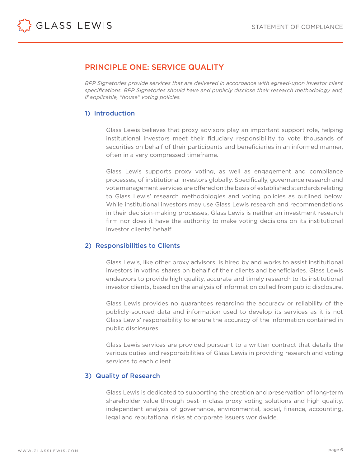# PRINCIPLE ONE: SERVICE QUALITY

*BPP Signatories provide services that are delivered in accordance with agreed-upon investor client specifications. BPP Signatories should have and publicly disclose their research methodology and, if applicable, "house" voting policies.*

# 1) Introduction

Glass Lewis believes that proxy advisors play an important support role, helping institutional investors meet their fiduciary responsibility to vote thousands of securities on behalf of their participants and beneficiaries in an informed manner, often in a very compressed timeframe.

Glass Lewis supports proxy voting, as well as engagement and compliance processes, of institutional investors globally. Specifically, governance research and vote management services are offered on the basis of established standards relating to Glass Lewis' research methodologies and voting policies as outlined below. While institutional investors may use Glass Lewis research and recommendations in their decision-making processes, Glass Lewis is neither an investment research firm nor does it have the authority to make voting decisions on its institutional investor clients' behalf.

# 2) Responsibilities to Clients

Glass Lewis, like other proxy advisors, is hired by and works to assist institutional investors in voting shares on behalf of their clients and beneficiaries. Glass Lewis endeavors to provide high quality, accurate and timely research to its institutional investor clients, based on the analysis of information culled from public disclosure.

Glass Lewis provides no guarantees regarding the accuracy or reliability of the publicly-sourced data and information used to develop its services as it is not Glass Lewis' responsibility to ensure the accuracy of the information contained in public disclosures.

Glass Lewis services are provided pursuant to a written contract that details the various duties and responsibilities of Glass Lewis in providing research and voting services to each client.

# 3) Quality of Research

Glass Lewis is dedicated to supporting the creation and preservation of long-term shareholder value through best-in-class proxy voting solutions and high quality, independent analysis of governance, environmental, social, finance, accounting, legal and reputational risks at corporate issuers worldwide.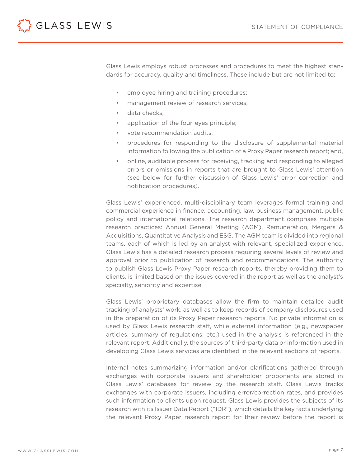<span id="page-6-0"></span>

Glass Lewis employs robust processes and procedures to meet the highest standards for accuracy, quality and timeliness. These include but are not limited to:

- employee hiring and training procedures;
- management review of research services:
- data checks:
- application of the four-eyes principle;
- vote recommendation audits;
- procedures for responding to the disclosure of supplemental material information following the publication of a Proxy Paper research report; and,
- online, auditable process for receiving, tracking and responding to alleged errors or omissions in reports that are brought to Glass Lewis' attention (see below for further discussion of Glass Lewis' error correction and notification procedures).

Glass Lewis' experienced, multi-disciplinary team leverages formal training and commercial experience in finance, accounting, law, business management, public policy and international relations. The research department comprises multiple research practices: Annual General Meeting (AGM), Remuneration, Mergers & Acquisitions, Quantitative Analysis and ESG. The AGM team is divided into regional teams, each of which is led by an analyst with relevant, specialized experience. Glass Lewis has a detailed research process requiring several levels of review and approval prior to publication of research and recommendations. The authority to publish Glass Lewis Proxy Paper research reports, thereby providing them to clients, is limited based on the issues covered in the report as well as the analyst's specialty, seniority and expertise.

Glass Lewis' proprietary databases allow the firm to maintain detailed audit tracking of analysts' work, as well as to keep records of company disclosures used in the preparation of its Proxy Paper research reports. No private information is used by Glass Lewis research staff, while external information (e.g., newspaper articles, summary of regulations, etc.) used in the analysis is referenced in the relevant report. Additionally, the sources of third-party data or information used in developing Glass Lewis services are identified in the relevant sections of reports.

Internal notes summarizing information and/or clarifications gathered through exchanges with corporate issuers and shareholder proponents are stored in Glass Lewis' databases for review by the research staff. Glass Lewis tracks exchanges with corporate issuers, including error/correction rates, and provides such information to clients upon request. Glass Lewis provides the subjects of its research with its Issuer Data Report ("IDR"), which details the key facts underlying the relevant Proxy Paper research report for their review before the report is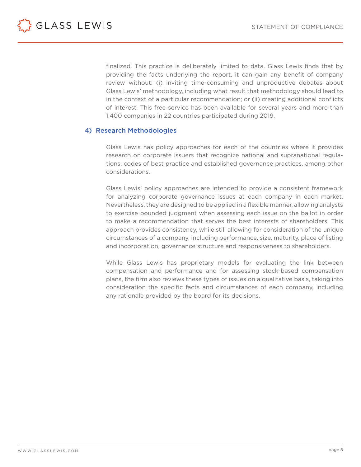<span id="page-7-0"></span>

finalized. This practice is deliberately limited to data. Glass Lewis finds that by providing the facts underlying the report, it can gain any benefit of company review without: (i) inviting time-consuming and unproductive debates about Glass Lewis' methodology, including what result that methodology should lead to in the context of a particular recommendation; or (ii) creating additional conflicts of interest. This free service has been available for several years and more than 1,400 companies in 22 countries participated during 2019.

# 4) Research Methodologies

Glass Lewis has policy approaches for each of the countries where it provides research on corporate issuers that recognize national and supranational regulations, codes of best practice and established governance practices, among other considerations.

Glass Lewis' policy approaches are intended to provide a consistent framework for analyzing corporate governance issues at each company in each market. Nevertheless, they are designed to be applied in a flexible manner, allowing analysts to exercise bounded judgment when assessing each issue on the ballot in order to make a recommendation that serves the best interests of shareholders. This approach provides consistency, while still allowing for consideration of the unique circumstances of a company, including performance, size, maturity, place of listing and incorporation, governance structure and responsiveness to shareholders.

While Glass Lewis has proprietary models for evaluating the link between compensation and performance and for assessing stock-based compensation plans, the firm also reviews these types of issues on a qualitative basis, taking into consideration the specific facts and circumstances of each company, including any rationale provided by the board for its decisions.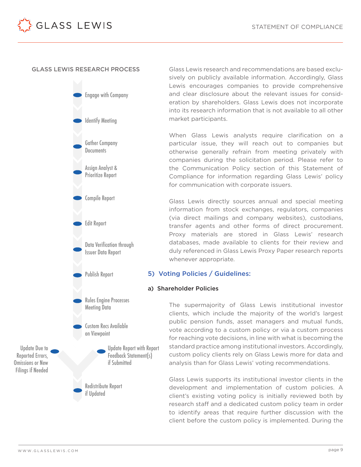#### GLASS LEWIS RESEARCH PROCESS

GLASS LEWIS



Glass Lewis research and recommendations are based exclusively on publicly available information. Accordingly, Glass Lewis encourages companies to provide comprehensive and clear disclosure about the relevant issues for consideration by shareholders. Glass Lewis does not incorporate into its research information that is not available to all other market participants.

When Glass Lewis analysts require clarification on a particular issue, they will reach out to companies but otherwise generally refrain from meeting privately with companies during the solicitation period. Please refer to the Communication Policy section of this Statement of Compliance for information regarding Glass Lewis' policy for communication with corporate issuers.

Glass Lewis directly sources annual and special meeting information from stock exchanges, regulators, companies (via direct mailings and company websites), custodians, transfer agents and other forms of direct procurement. Proxy materials are stored in Glass Lewis' research databases, made available to clients for their review and duly referenced in Glass Lewis Proxy Paper research reports whenever appropriate.

#### 5) Voting Policies / Guidelines:

#### a) Shareholder Policies

The supermajority of Glass Lewis institutional investor clients, which include the majority of the world's largest public pension funds, asset managers and mutual funds, vote according to a custom policy or via a custom process for reaching vote decisions, in line with what is becoming the standard practice among institutional investors. Accordingly, custom policy clients rely on Glass Lewis more for data and analysis than for Glass Lewis' voting recommendations.

Glass Lewis supports its institutional investor clients in the development and implementation of custom policies. A client's existing voting policy is initially reviewed both by research staff and a dedicated custom policy team in order to identify areas that require further discussion with the client before the custom policy is implemented. During the

Update Due to Reported Errors, Omissions or New Filings if Needed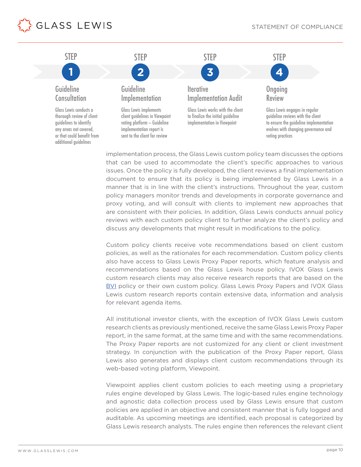<span id="page-9-0"></span>



implementation process, the Glass Lewis custom policy team discusses the options that can be used to accommodate the client's specific approaches to various issues. Once the policy is fully developed, the client reviews a final implementation document to ensure that its policy is being implemented by Glass Lewis in a manner that is in line with the client's instructions. Throughout the year, custom policy managers monitor trends and developments in corporate governance and proxy voting, and will consult with clients to implement new approaches that are consistent with their policies. In addition, Glass Lewis conducts annual policy reviews with each custom policy client to further analyze the client's policy and discuss any developments that might result in modifications to the policy.

Custom policy clients receive vote recommendations based on client custom policies, as well as the rationales for each recommendation. Custom policy clients also have access to Glass Lewis Proxy Paper reports, which feature analysis and recommendations based on the Glass Lewis house policy. IVOX Glass Lewis custom research clients may also receive research reports that are based on the [BVI](https://www.bvi.de/) policy or their own custom policy. Glass Lewis Proxy Papers and IVOX Glass Lewis custom research reports contain extensive data, information and analysis for relevant agenda items.

All institutional investor clients, with the exception of IVOX Glass Lewis custom research clients as previously mentioned, receive the same Glass Lewis Proxy Paper report, in the same format, at the same time and with the same recommendations. The Proxy Paper reports are not customized for any client or client investment strategy. In conjunction with the publication of the Proxy Paper report, Glass Lewis also generates and displays client custom recommendations through its web-based voting platform, Viewpoint.

Viewpoint applies client custom policies to each meeting using a proprietary rules engine developed by Glass Lewis. The logic-based rules engine technology and agnostic data collection process used by Glass Lewis ensure that custom policies are applied in an objective and consistent manner that is fully logged and auditable. As upcoming meetings are identified, each proposal is categorized by Glass Lewis research analysts. The rules engine then references the relevant client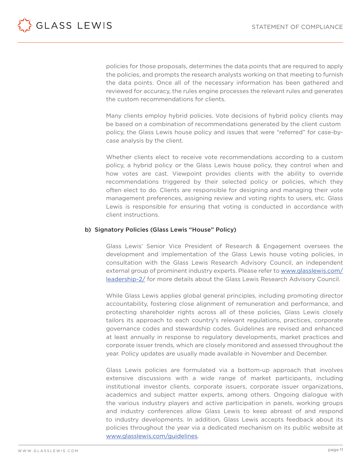<span id="page-10-0"></span>

policies for those proposals, determines the data points that are required to apply the policies, and prompts the research analysts working on that meeting to furnish the data points. Once all of the necessary information has been gathered and reviewed for accuracy, the rules engine processes the relevant rules and generates the custom recommendations for clients.

Many clients employ hybrid policies. Vote decisions of hybrid policy clients may be based on a combination of recommendations generated by the client custom policy, the Glass Lewis house policy and issues that were "referred" for case-bycase analysis by the client.

Whether clients elect to receive vote recommendations according to a custom policy, a hybrid policy or the Glass Lewis house policy, they control when and how votes are cast. Viewpoint provides clients with the ability to override recommendations triggered by their selected policy or policies, which they often elect to do. Clients are responsible for designing and managing their vote management preferences, assigning review and voting rights to users, etc. Glass Lewis is responsible for ensuring that voting is conducted in accordance with client instructions.

#### b) Signatory Policies (Glass Lewis "House" Policy)

Glass Lewis' Senior Vice President of Research & Engagement oversees the development and implementation of the Glass Lewis house voting policies, in consultation with the Glass Lewis Research Advisory Council, an independent external group of prominent industry experts. Please refer to [www.glasslewis.com/](http://www.glasslewis.com/ leadership-2/) [leadership-2/](http://www.glasslewis.com/ leadership-2/) for more details about the Glass Lewis Research Advisory Council.

While Glass Lewis applies global general principles, including promoting director accountability, fostering close alignment of remuneration and performance, and protecting shareholder rights across all of these policies, Glass Lewis closely tailors its approach to each country's relevant regulations, practices, corporate governance codes and stewardship codes. Guidelines are revised and enhanced at least annually in response to regulatory developments, market practices and corporate issuer trends, which are closely monitored and assessed throughout the year. Policy updates are usually made available in November and December.

Glass Lewis policies are formulated via a bottom-up approach that involves extensive discussions with a wide range of market participants, including institutional investor clients, corporate issuers, corporate issuer organizations, academics and subject matter experts, among others. Ongoing dialogue with the various industry players and active participation in panels, working groups and industry conferences allow Glass Lewis to keep abreast of and respond to industry developments. In addition, Glass Lewis accepts feedback about its policies throughout the year via a dedicated mechanism on its public website at [www.glasslewis.com/guidelines](http://www.glasslewis.com/guidelines).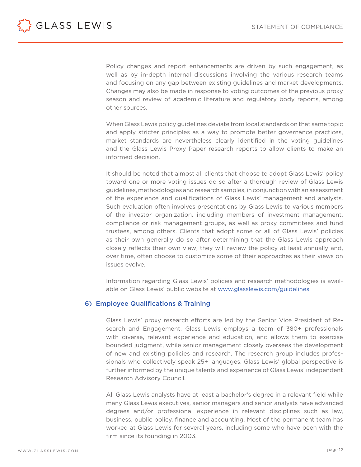

Policy changes and report enhancements are driven by such engagement, as well as by in-depth internal discussions involving the various research teams and focusing on any gap between existing guidelines and market developments. Changes may also be made in response to voting outcomes of the previous proxy season and review of academic literature and regulatory body reports, among other sources.

When Glass Lewis policy guidelines deviate from local standards on that same topic and apply stricter principles as a way to promote better governance practices, market standards are nevertheless clearly identified in the voting guidelines and the Glass Lewis Proxy Paper research reports to allow clients to make an informed decision.

It should be noted that almost all clients that choose to adopt Glass Lewis' policy toward one or more voting issues do so after a thorough review of Glass Lewis guidelines, methodologies and research samples, in conjunction with an assessment of the experience and qualifications of Glass Lewis' management and analysts. Such evaluation often involves presentations by Glass Lewis to various members of the investor organization, including members of investment management, compliance or risk management groups, as well as proxy committees and fund trustees, among others. Clients that adopt some or all of Glass Lewis' policies as their own generally do so after determining that the Glass Lewis approach closely reflects their own view; they will review the policy at least annually and, over time, often choose to customize some of their approaches as their views on issues evolve.

Information regarding Glass Lewis' policies and research methodologies is available on Glass Lewis' public website at [www.glasslewis.com/guidelines.](http://www.glasslewis.com/guidelines)

# 6) Employee Qualifications & Training

Glass Lewis' proxy research efforts are led by the Senior Vice President of Research and Engagement. Glass Lewis employs a team of 380+ professionals with diverse, relevant experience and education, and allows them to exercise bounded judgment, while senior management closely oversees the development of new and existing policies and research. The research group includes professionals who collectively speak 25+ languages. Glass Lewis' global perspective is further informed by the unique talents and experience of Glass Lewis' independent Research Advisory Council.

All Glass Lewis analysts have at least a bachelor's degree in a relevant field while many Glass Lewis executives, senior managers and senior analysts have advanced degrees and/or professional experience in relevant disciplines such as law, business, public policy, finance and accounting. Most of the permanent team has worked at Glass Lewis for several years, including some who have been with the firm since its founding in 2003.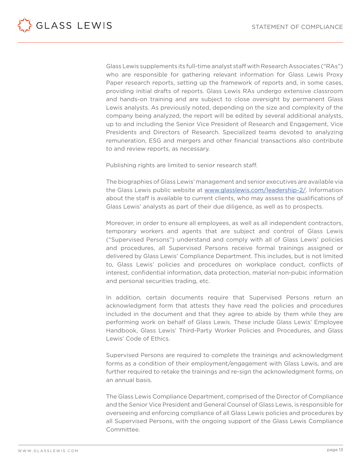<span id="page-12-0"></span>

Glass Lewis supplements its full-time analyst staff with Research Associates ("RAs") who are responsible for gathering relevant information for Glass Lewis Proxy Paper research reports, setting up the framework of reports and, in some cases, providing initial drafts of reports. Glass Lewis RAs undergo extensive classroom and hands-on training and are subject to close oversight by permanent Glass Lewis analysts. As previously noted, depending on the size and complexity of the company being analyzed, the report will be edited by several additional analysts, up to and including the Senior Vice President of Research and Engagement, Vice Presidents and Directors of Research. Specialized teams devoted to analyzing remuneration, ESG and mergers and other financial transactions also contribute to and review reports, as necessary.

Publishing rights are limited to senior research staff.

The biographies of Glass Lewis' management and senior executives are available via the Glass Lewis public website at [www.glasslewis.com/leadership-2/.](http://www.glasslewis.com/leadership-2/) Information about the staff is available to current clients, who may assess the qualifications of Glass Lewis' analysts as part of their due diligence, as well as to prospects.

Moreover, in order to ensure all employees, as well as all independent contractors, temporary workers and agents that are subject and control of Glass Lewis ("Supervised Persons") understand and comply with all of Glass Lewis' policies and procedures, all Supervised Persons receive formal trainings assigned or delivered by Glass Lewis' Compliance Department. This includes, but is not limited to, Glass Lewis' policies and procedures on workplace conduct, conflicts of interest, confidential information, data protection, material non-pubic information and personal securities trading, etc.

In addition, certain documents require that Supervised Persons return an acknowledgment form that attests they have read the policies and procedures included in the document and that they agree to abide by them while they are performing work on behalf of Glass Lewis. These include Glass Lewis' Employee Handbook, Glass Lewis' Third-Party Worker Policies and Procedures, and Glass Lewis' Code of Ethics.

Supervised Persons are required to complete the trainings and acknowledgment forms as a condition of their employment/engagement with Glass Lewis, and are further required to retake the trainings and re-sign the acknowledgment forms, on an annual basis.

The Glass Lewis Compliance Department, comprised of the Director of Compliance and the Senior Vice President and General Counsel of Glass Lewis, is responsible for overseeing and enforcing compliance of all Glass Lewis policies and procedures by all Supervised Persons, with the ongoing support of the Glass Lewis Compliance Committee.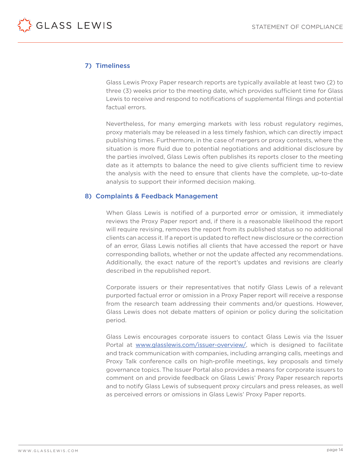<span id="page-13-0"></span>

# 7) Timeliness

Glass Lewis Proxy Paper research reports are typically available at least two (2) to three (3) weeks prior to the meeting date, which provides sufficient time for Glass Lewis to receive and respond to notifications of supplemental filings and potential factual errors.

Nevertheless, for many emerging markets with less robust regulatory regimes, proxy materials may be released in a less timely fashion, which can directly impact publishing times. Furthermore, in the case of mergers or proxy contests, where the situation is more fluid due to potential negotiations and additional disclosure by the parties involved, Glass Lewis often publishes its reports closer to the meeting date as it attempts to balance the need to give clients sufficient time to review the analysis with the need to ensure that clients have the complete, up-to-date analysis to support their informed decision making.

#### 8) Complaints & Feedback Management

When Glass Lewis is notified of a purported error or omission, it immediately reviews the Proxy Paper report and, if there is a reasonable likelihood the report will require revising, removes the report from its published status so no additional clients can access it. If a report is updated to reflect new disclosure or the correction of an error, Glass Lewis notifies all clients that have accessed the report or have corresponding ballots, whether or not the update affected any recommendations. Additionally, the exact nature of the report's updates and revisions are clearly described in the republished report.

Corporate issuers or their representatives that notify Glass Lewis of a relevant purported factual error or omission in a Proxy Paper report will receive a response from the research team addressing their comments and/or questions. However, Glass Lewis does not debate matters of opinion or policy during the solicitation period.

Glass Lewis encourages corporate issuers to contact Glass Lewis via the Issuer Portal at [www.glasslewis.com/issuer-overview/](http://www.glasslewis.com/issuer-overview/), which is designed to facilitate and track communication with companies, including arranging calls, meetings and Proxy Talk conference calls on high-profile meetings, key proposals and timely governance topics. The Issuer Portal also provides a means for corporate issuers to comment on and provide feedback on Glass Lewis' Proxy Paper research reports and to notify Glass Lewis of subsequent proxy circulars and press releases, as well as perceived errors or omissions in Glass Lewis' Proxy Paper reports.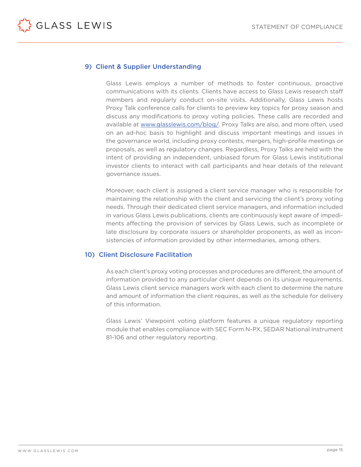<span id="page-14-0"></span>

# 9) Client & Supplier Understanding

Glass Lewis employs a number of methods to foster continuous, proactive communications with its clients. Clients have access to Glass Lewis research staff members and regularly conduct on-site visits. Additionally, Glass Lewis hosts Proxy Talk conference calls for clients to preview key topics for proxy season and discuss any modifications to proxy voting policies. These calls are recorded and available at [www.glasslewis.com/blog/](http://www.glasslewis.com/blog/). Proxy Talks are also, and more often, used on an ad-hoc basis to highlight and discuss important meetings and issues in the governance world, including proxy contests, mergers, high-profile meetings or proposals, as well as regulatory changes. Regardless, Proxy Talks are held with the intent of providing an independent, unbiased forum for Glass Lewis institutional investor clients to interact with call participants and hear details of the relevant governance issues.

Moreover, each client is assigned a client service manager who is responsible for maintaining the relationship with the client and servicing the client's proxy voting needs. Through their dedicated client service managers, and information included in various Glass Lewis publications, clients are continuously kept aware of impediments affecting the provision of services by Glass Lewis, such as incomplete or late disclosure by corporate issuers or shareholder proponents, as well as inconsistencies of information provided by other intermediaries, among others.

# 10) Client Disclosure Facilitation

As each client's proxy voting processes and procedures are different, the amount of information provided to any particular client depends on its unique requirements. Glass Lewis client service managers work with each client to determine the nature and amount of information the client requires, as well as the schedule for delivery of this information.

Glass Lewis' Viewpoint voting platform features a unique regulatory reporting module that enables compliance with SEC Form N-PX, SEDAR National Instrument 81-106 and other regulatory reporting.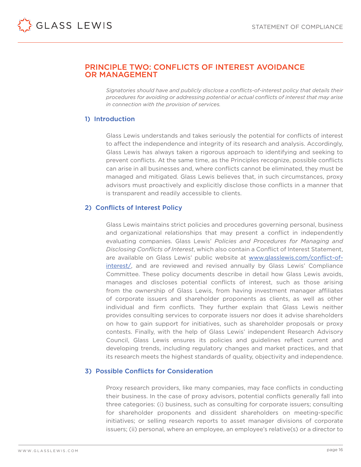# <span id="page-15-0"></span>PRINCIPLE TWO: CONFLICTS OF INTEREST AVOIDANCE OR MANAGEMENT

*Signatories should have and publicly disclose a conflicts-of-interest policy that details their procedures for avoiding or addressing potential or actual conflicts of interest that may arise in connection with the provision of services.*

# 1) Introduction

Glass Lewis understands and takes seriously the potential for conflicts of interest to affect the independence and integrity of its research and analysis. Accordingly, Glass Lewis has always taken a rigorous approach to identifying and seeking to prevent conflicts. At the same time, as the Principles recognize, possible conflicts can arise in all businesses and, where conflicts cannot be eliminated, they must be managed and mitigated. Glass Lewis believes that, in such circumstances, proxy advisors must proactively and explicitly disclose those conflicts in a manner that is transparent and readily accessible to clients.

# 2) Conflicts of Interest Policy

Glass Lewis maintains strict policies and procedures governing personal, business and organizational relationships that may present a conflict in independently evaluating companies. Glass Lewis' *Policies and Procedures for Managing and Disclosing Conflicts of Interest*, which also contain a Conflict of Interest Statement, are available on Glass Lewis' public website at [www.glasslewis.com/conflict-of](http://www.glasslewis.com/conflict-of- interest/)[interest/](http://www.glasslewis.com/conflict-of- interest/), and are reviewed and revised annually by Glass Lewis' Compliance Committee. These policy documents describe in detail how Glass Lewis avoids, manages and discloses potential conflicts of interest, such as those arising from the ownership of Glass Lewis, from having investment manager affiliates of corporate issuers and shareholder proponents as clients, as well as other individual and firm conflicts. They further explain that Glass Lewis neither provides consulting services to corporate issuers nor does it advise shareholders on how to gain support for initiatives, such as shareholder proposals or proxy contests. Finally, with the help of Glass Lewis' independent Research Advisory Council, Glass Lewis ensures its policies and guidelines reflect current and developing trends, including regulatory changes and market practices, and that its research meets the highest standards of quality, objectivity and independence.

# 3) Possible Conflicts for Consideration

Proxy research providers, like many companies, may face conflicts in conducting their business. In the case of proxy advisors, potential conflicts generally fall into three categories: (i) business, such as consulting for corporate issuers; consulting for shareholder proponents and dissident shareholders on meeting-specific initiatives; or selling research reports to asset manager divisions of corporate issuers; (ii) personal, where an employee, an employee's relative(s) or a director to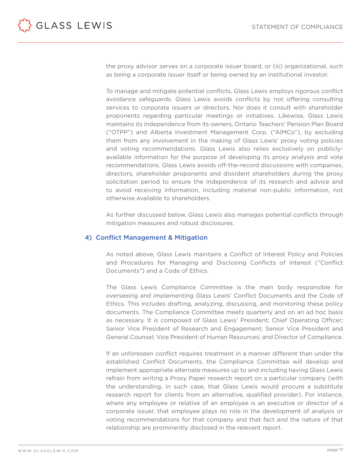<span id="page-16-0"></span>

the proxy advisor serves on a corporate issuer board; or (iii) organizational, such as being a corporate issuer itself or being owned by an institutional investor.

To manage and mitigate potential conflicts, Glass Lewis employs rigorous conflict avoidance safeguards. Glass Lewis avoids conflicts by not offering consulting services to corporate issuers or directors. Nor does it consult with shareholder proponents regarding particular meetings or initiatives. Likewise, Glass Lewis maintains its independence from its owners, Ontario Teachers' Pension Plan Board ("OTPP") and Alberta Investment Management Corp. ("AIMCo"), by excluding them from any involvement in the making of Glass Lewis' proxy voting policies and voting recommendations. Glass Lewis also relies exclusively on publiclyavailable information for the purpose of developing its proxy analysis and vote recommendations. Glass Lewis avoids off-the-record discussions with companies, directors, shareholder proponents and dissident shareholders during the proxy solicitation period to ensure the independence of its research and advice and to avoid receiving information, including material non-public information, not otherwise available to shareholders.

As further discussed below, Glass Lewis also manages potential conflicts through mitigation measures and robust disclosures.

#### 4) Conflict Management & Mitigation

As noted above, Glass Lewis maintains a Conflict of Interest Policy and Policies and Procedures for Managing and Disclosing Conflicts of Interest ("Conflict Documents") and a Code of Ethics.

The Glass Lewis Compliance Committee is the main body responsible for overseeing and implementing Glass Lewis' Conflict Documents and the Code of Ethics. This includes drafting, analyzing, discussing, and monitoring these policy documents. The Compliance Committee meets quarterly and on an ad hoc basis as necessary. It is composed of Glass Lewis' President; Chief Operating Officer; Senior Vice President of Research and Engagement; Senior Vice President and General Counsel; Vice President of Human Resources; and Director of Compliance.

If an unforeseen conflict requires treatment in a manner different than under the established Conflict Documents, the Compliance Committee will develop and implement appropriate alternate measures up to and including having Glass Lewis refrain from writing a Proxy Paper research report on a particular company (with the understanding, in such case, that Glass Lewis would procure a substitute research report for clients from an alternative, qualified provider). For instance, where any employee or relative of an employee is an executive or director of a corporate issuer, that employee plays no role in the development of analysis or voting recommendations for that company and that fact and the nature of that relationship are prominently disclosed in the relevant report.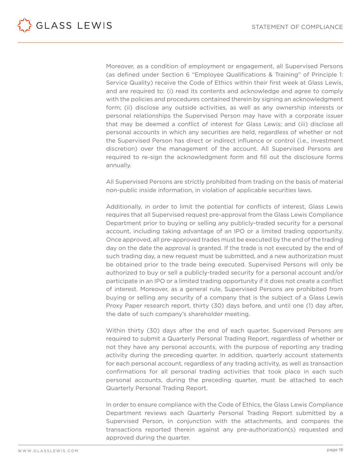<span id="page-17-0"></span>

Moreover, as a condition of employment or engagement, all Supervised Persons (as defined under Section 6 "Employee Qualifications & Training" of Principle 1: Service Quality) receive the Code of Ethics within their first week at Glass Lewis, and are required to: (i) read its contents and acknowledge and agree to comply with the policies and procedures contained therein by signing an acknowledgment form; (ii) disclose any outside activities, as well as any ownership interests or personal relationships the Supervised Person may have with a corporate issuer that may be deemed a conflict of interest for Glass Lewis; and (iii) disclose all personal accounts in which any securities are held, regardless of whether or not the Supervised Person has direct or indirect influence or control (i.e., investment discretion) over the management of the account. All Supervised Persons are required to re-sign the acknowledgment form and fill out the disclosure forms annually.

All Supervised Persons are strictly prohibited from trading on the basis of material non-public inside information, in violation of applicable securities laws.

Additionally, in order to limit the potential for conflicts of interest, Glass Lewis requires that all Supervised request pre-approval from the Glass Lewis Compliance Department prior to buying or selling any publicly-traded security for a personal account, including taking advantage of an IPO or a limited trading opportunity. Once approved, all pre-approved trades must be executed by the end of the trading day on the date the approval is granted. If the trade is not executed by the end of such trading day, a new request must be submitted, and a new authorization must be obtained prior to the trade being executed. Supervised Persons will only be authorized to buy or sell a publicly-traded security for a personal account and/or participate in an IPO or a limited trading opportunity if it does not create a conflict of interest. Moreover, as a general rule, Supervised Persons are prohibited from buying or selling any security of a company that is the subject of a Glass Lewis Proxy Paper research report, thirty (30) days before, and until one (1) day after, the date of such company's shareholder meeting.

Within thirty (30) days after the end of each quarter, Supervised Persons are required to submit a Quarterly Personal Trading Report, regardless of whether or not they have any personal accounts, with the purpose of reporting any trading activity during the preceding quarter. In addition, quarterly account statements for each personal account, regardless of any trading activity, as well as transaction confirmations for all personal trading activities that took place in each such personal accounts, during the preceding quarter, must be attached to each Quarterly Personal Trading Report.

In order to ensure compliance with the Code of Ethics, the Glass Lewis Compliance Department reviews each Quarterly Personal Trading Report submitted by a Supervised Person, in conjunction with the attachments, and compares the transactions reported therein against any pre-authorization(s) requested and approved during the quarter.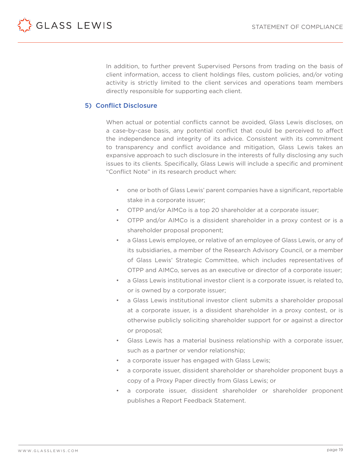<span id="page-18-0"></span>GLASS LEWIS

In addition, to further prevent Supervised Persons from trading on the basis of client information, access to client holdings files, custom policies, and/or voting activity is strictly limited to the client services and operations team members directly responsible for supporting each client.

# 5) Conflict Disclosure

When actual or potential conflicts cannot be avoided, Glass Lewis discloses, on a case-by-case basis, any potential conflict that could be perceived to affect the independence and integrity of its advice. Consistent with its commitment to transparency and conflict avoidance and mitigation, Glass Lewis takes an expansive approach to such disclosure in the interests of fully disclosing any such issues to its clients. Specifically, Glass Lewis will include a specific and prominent "Conflict Note" in its research product when:

- one or both of Glass Lewis' parent companies have a significant, reportable stake in a corporate issuer;
- OTPP and/or AIMCo is a top 20 shareholder at a corporate issuer;
- OTPP and/or AIMCo is a dissident shareholder in a proxy contest or is a shareholder proposal proponent;
- a Glass Lewis employee, or relative of an employee of Glass Lewis, or any of its subsidiaries, a member of the Research Advisory Council, or a member of Glass Lewis' Strategic Committee, which includes representatives of OTPP and AIMCo, serves as an executive or director of a corporate issuer;
- a Glass Lewis institutional investor client is a corporate issuer, is related to, or is owned by a corporate issuer;
- a Glass Lewis institutional investor client submits a shareholder proposal at a corporate issuer, is a dissident shareholder in a proxy contest, or is otherwise publicly soliciting shareholder support for or against a director or proposal;
- Glass Lewis has a material business relationship with a corporate issuer, such as a partner or vendor relationship;
- a corporate issuer has engaged with Glass Lewis;
- a corporate issuer, dissident shareholder or shareholder proponent buys a copy of a Proxy Paper directly from Glass Lewis; or
- a corporate issuer, dissident shareholder or shareholder proponent publishes a Report Feedback Statement.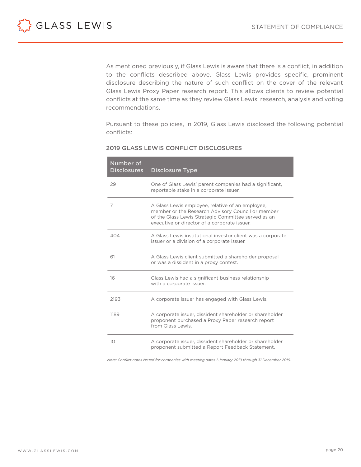<span id="page-19-0"></span>

As mentioned previously, if Glass Lewis is aware that there is a conflict, in addition to the conflicts described above, Glass Lewis provides specific, prominent disclosure describing the nature of such conflict on the cover of the relevant Glass Lewis Proxy Paper research report. This allows clients to review potential conflicts at the same time as they review Glass Lewis' research, analysis and voting recommendations.

Pursuant to these policies, in 2019, Glass Lewis disclosed the following potential conflicts:

| Number of<br><b>Disclosures</b> | <b>Disclosure Type</b>                                                                                                                                                                                       |
|---------------------------------|--------------------------------------------------------------------------------------------------------------------------------------------------------------------------------------------------------------|
| 29                              | One of Glass Lewis' parent companies had a significant,<br>reportable stake in a corporate issuer.                                                                                                           |
| 7                               | A Glass Lewis employee, relative of an employee,<br>member or the Research Advisory Council or member<br>of the Glass Lewis Strategic Committee served as an<br>executive or director of a corporate issuer. |
| 404                             | A Glass Lewis institutional investor client was a corporate<br>issuer or a division of a corporate issuer.                                                                                                   |
| 61                              | A Glass Lewis client submitted a shareholder proposal<br>or was a dissident in a proxy contest.                                                                                                              |
| 16                              | Glass Lewis had a significant business relationship<br>with a corporate issuer.                                                                                                                              |
| 2193                            | A corporate issuer has engaged with Glass Lewis.                                                                                                                                                             |
| 1189                            | A corporate issuer, dissident shareholder or shareholder<br>proponent purchased a Proxy Paper research report<br>from Glass Lewis                                                                            |
| 10                              | A corporate issuer, dissident shareholder or shareholder<br>proponent submitted a Report Feedback Statement.                                                                                                 |

#### 2019 GLASS LEWIS CONFLICT DISCLOSURES

*Note: Conflict notes issued for companies with meeting dates 1 January 2019 through 31 December 2019.*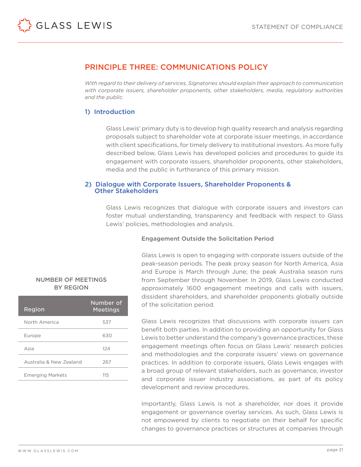

# PRINCIPLE THREE: COMMUNICATIONS POLICY

*With regard to their delivery of services, Signatories should explain their approach to communication with corporate issuers, shareholder proponents, other stakeholders, media, regulatory authorities and the public.*

# 1) Introduction

Glass Lewis' primary duty is to develop high quality research and analysis regarding proposals subject to shareholder vote at corporate issuer meetings, in accordance with client specifications, for timely delivery to institutional investors. As more fully described below, Glass Lewis has developed policies and procedures to guide its engagement with corporate issuers, shareholder proponents, other stakeholders, media and the public in furtherance of this primary mission.

#### 2) Dialogue with Corporate Issuers, Shareholder Proponents & Other Stakeholders

Glass Lewis recognizes that dialogue with corporate issuers and investors can foster mutual understanding, transparency and feedback with respect to Glass Lewis' policies, methodologies and analysis.

#### Engagement Outside the Solicitation Period

Glass Lewis is open to engaging with corporate issuers outside of the peak-season periods. The peak proxy season for North America, Asia and Europe is March through June; the peak Australia season runs from September through November. In 2019, Glass Lewis conducted approximately 1600 engagement meetings and calls with issuers, dissident shareholders, and shareholder proponents globally outside of the solicitation period.

Glass Lewis recognizes that discussions with corporate issuers can benefit both parties. In addition to providing an opportunity for Glass Lewis to better understand the company's governance practices, these engagement meetings often focus on Glass Lewis' research policies and methodologies and the corporate issuers' views on governance practices. In addition to corporate issuers, Glass Lewis engages with a broad group of relevant stakeholders, such as governance, investor and corporate issuer industry associations, as part of its policy development and review procedures.

Importantly, Glass Lewis is not a shareholder, nor does it provide engagement or governance overlay services. As such, Glass Lewis is not empowered by clients to negotiate on their behalf for specific changes to governance practices or structures at companies through

#### NUMBER OF MEETINGS BY REGION

| Region                  | <b>Number of</b><br><b>Meetings</b> |
|-------------------------|-------------------------------------|
| North America           | 537                                 |
| Europe                  | 630                                 |
| Asia                    | 124                                 |
| Australia & New Zealand | 267                                 |
| <b>Emerging Markets</b> | 11.5                                |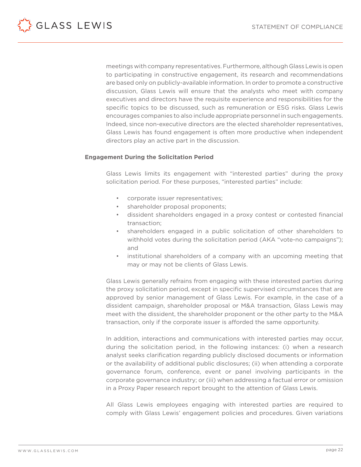<span id="page-21-0"></span>

meetings with company representatives. Furthermore, although Glass Lewis is open to participating in constructive engagement, its research and recommendations are based only on publicly-available information. In order to promote a constructive discussion, Glass Lewis will ensure that the analysts who meet with company executives and directors have the requisite experience and responsibilities for the specific topics to be discussed, such as remuneration or ESG risks. Glass Lewis encourages companies to also include appropriate personnel in such engagements. Indeed, since non-executive directors are the elected shareholder representatives, Glass Lewis has found engagement is often more productive when independent directors play an active part in the discussion.

#### **Engagement During the Solicitation Period**

Glass Lewis limits its engagement with "interested parties" during the proxy solicitation period. For these purposes, "interested parties" include:

- corporate issuer representatives;
- shareholder proposal proponents;
- dissident shareholders engaged in a proxy contest or contested financial transaction;
- shareholders engaged in a public solicitation of other shareholders to withhold votes during the solicitation period (AKA "vote-no campaigns"); and
- institutional shareholders of a company with an upcoming meeting that may or may not be clients of Glass Lewis.

Glass Lewis generally refrains from engaging with these interested parties during the proxy solicitation period, except in specific supervised circumstances that are approved by senior management of Glass Lewis. For example, in the case of a dissident campaign, shareholder proposal or M&A transaction, Glass Lewis may meet with the dissident, the shareholder proponent or the other party to the M&A transaction, only if the corporate issuer is afforded the same opportunity.

In addition, interactions and communications with interested parties may occur, during the solicitation period, in the following instances: (i) when a research analyst seeks clarification regarding publicly disclosed documents or information or the availability of additional public disclosures; (ii) when attending a corporate governance forum, conference, event or panel involving participants in the corporate governance industry; or (iii) when addressing a factual error or omission in a Proxy Paper research report brought to the attention of Glass Lewis.

All Glass Lewis employees engaging with interested parties are required to comply with Glass Lewis' engagement policies and procedures. Given variations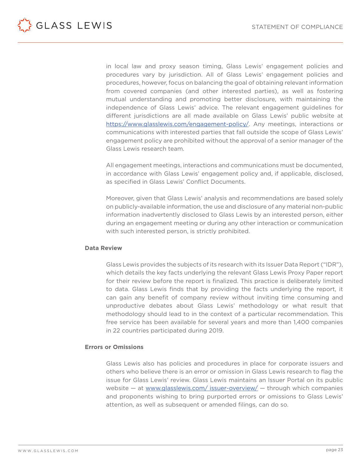<span id="page-22-0"></span>

in local law and proxy season timing, Glass Lewis' engagement policies and procedures vary by jurisdiction. All of Glass Lewis' engagement policies and procedures, however, focus on balancing the goal of obtaining relevant information from covered companies (and other interested parties), as well as fostering mutual understanding and promoting better disclosure, with maintaining the independence of Glass Lewis' advice. The relevant engagement guidelines for different jurisdictions are all made available on Glass Lewis' public website at <https://www.glasslewis.com/engagement-policy/>. Any meetings, interactions or communications with interested parties that fall outside the scope of Glass Lewis' engagement policy are prohibited without the approval of a senior manager of the Glass Lewis research team.

All engagement meetings, interactions and communications must be documented, in accordance with Glass Lewis' engagement policy and, if applicable, disclosed, as specified in Glass Lewis' Conflict Documents.

Moreover, given that Glass Lewis' analysis and recommendations are based solely on publicly-available information, the use and disclosure of any material non-public information inadvertently disclosed to Glass Lewis by an interested person, either during an engagement meeting or during any other interaction or communication with such interested person, is strictly prohibited.

#### **Data Review**

Glass Lewis provides the subjects of its research with its Issuer Data Report ("IDR"), which details the key facts underlying the relevant Glass Lewis Proxy Paper report for their review before the report is finalized. This practice is deliberately limited to data. Glass Lewis finds that by providing the facts underlying the report, it can gain any benefit of company review without inviting time consuming and unproductive debates about Glass Lewis' methodology or what result that methodology should lead to in the context of a particular recommendation. This free service has been available for several years and more than 1,400 companies in 22 countries participated during 2019.

#### **Errors or Omissions**

Glass Lewis also has policies and procedures in place for corporate issuers and others who believe there is an error or omission in Glass Lewis research to flag the issue for Glass Lewis' review. Glass Lewis maintains an Issuer Portal on its public website – at [www.glasslewis.com/ issuer-overview/](http://www.glasslewis.com/ issuer-overview/) – through which companies and proponents wishing to bring purported errors or omissions to Glass Lewis' attention, as well as subsequent or amended filings, can do so.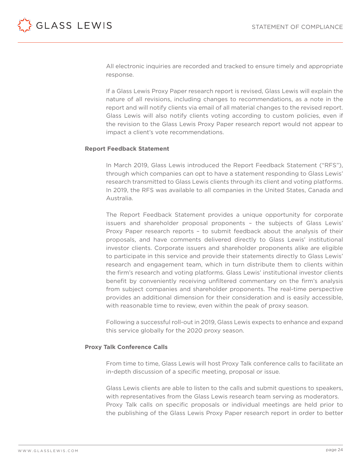

All electronic inquiries are recorded and tracked to ensure timely and appropriate response.

If a Glass Lewis Proxy Paper research report is revised, Glass Lewis will explain the nature of all revisions, including changes to recommendations, as a note in the report and will notify clients via email of all material changes to the revised report. Glass Lewis will also notify clients voting according to custom policies, even if the revision to the Glass Lewis Proxy Paper research report would not appear to impact a client's vote recommendations.

#### **Report Feedback Statement**

In March 2019, Glass Lewis introduced the Report Feedback Statement ("RFS"), through which companies can opt to have a statement responding to Glass Lewis' research transmitted to Glass Lewis clients through its client and voting platforms. In 2019, the RFS was available to all companies in the United States, Canada and Australia.

The Report Feedback Statement provides a unique opportunity for corporate issuers and shareholder proposal proponents – the subjects of Glass Lewis' Proxy Paper research reports – to submit feedback about the analysis of their proposals, and have comments delivered directly to Glass Lewis' institutional investor clients. Corporate issuers and shareholder proponents alike are eligible to participate in this service and provide their statements directly to Glass Lewis' research and engagement team, which in turn distribute them to clients within the firm's research and voting platforms. Glass Lewis' institutional investor clients benefit by conveniently receiving unfiltered commentary on the firm's analysis from subject companies and shareholder proponents. The real-time perspective provides an additional dimension for their consideration and is easily accessible, with reasonable time to review, even within the peak of proxy season.

Following a successful roll-out in 2019, Glass Lewis expects to enhance and expand this service globally for the 2020 proxy season.

#### **Proxy Talk Conference Calls**

From time to time, Glass Lewis will host Proxy Talk conference calls to facilitate an in-depth discussion of a specific meeting, proposal or issue.

Glass Lewis clients are able to listen to the calls and submit questions to speakers, with representatives from the Glass Lewis research team serving as moderators. Proxy Talk calls on specific proposals or individual meetings are held prior to the publishing of the Glass Lewis Proxy Paper research report in order to better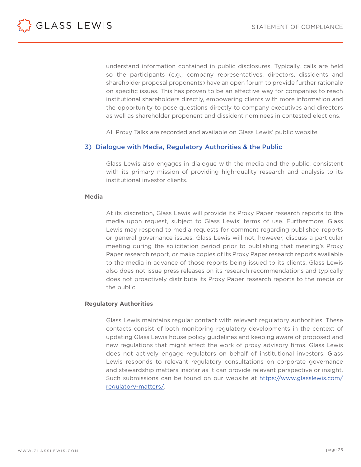<span id="page-24-0"></span>

understand information contained in public disclosures. Typically, calls are held so the participants (e.g., company representatives, directors, dissidents and shareholder proposal proponents) have an open forum to provide further rationale on specific issues. This has proven to be an effective way for companies to reach institutional shareholders directly, empowering clients with more information and the opportunity to pose questions directly to company executives and directors as well as shareholder proponent and dissident nominees in contested elections.

All Proxy Talks are recorded and available on Glass Lewis' public website.

#### 3) Dialogue with Media, Regulatory Authorities & the Public

Glass Lewis also engages in dialogue with the media and the public, consistent with its primary mission of providing high-quality research and analysis to its institutional investor clients.

#### **Media**

At its discretion, Glass Lewis will provide its Proxy Paper research reports to the media upon request, subject to Glass Lewis' terms of use. Furthermore, Glass Lewis may respond to media requests for comment regarding published reports or general governance issues. Glass Lewis will not, however, discuss a particular meeting during the solicitation period prior to publishing that meeting's Proxy Paper research report, or make copies of its Proxy Paper research reports available to the media in advance of those reports being issued to its clients. Glass Lewis also does not issue press releases on its research recommendations and typically does not proactively distribute its Proxy Paper research reports to the media or the public.

#### **Regulatory Authorities**

Glass Lewis maintains regular contact with relevant regulatory authorities. These contacts consist of both monitoring regulatory developments in the context of updating Glass Lewis house policy guidelines and keeping aware of proposed and new regulations that might affect the work of proxy advisory firms. Glass Lewis does not actively engage regulators on behalf of institutional investors. Glass Lewis responds to relevant regulatory consultations on corporate governance and stewardship matters insofar as it can provide relevant perspective or insight. Such submissions can be found on our website at [https://www.glasslewis.com/](https://www.glasslewis.com/regulatory-matters/) [regulatory-matters/](https://www.glasslewis.com/regulatory-matters/).